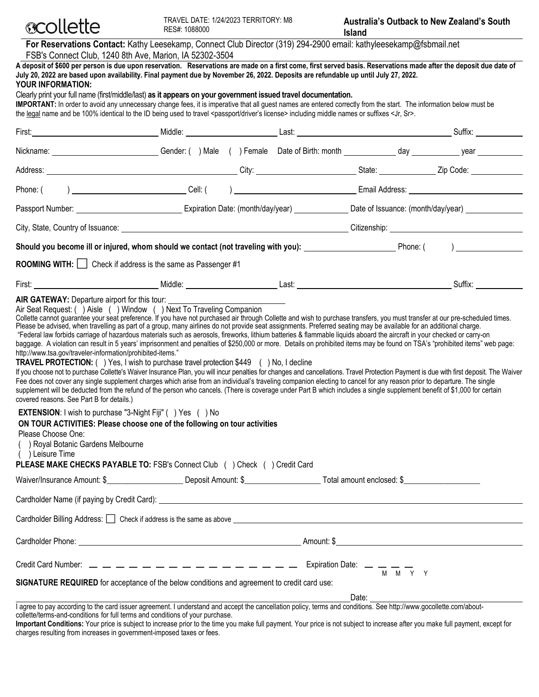

**For Reservations Contact:** Kathy Leesekamp, Connect Club Director (319) 294-2900 email: kathyleesekamp@fsbmail.net FSB's Connect Club, 1240 8th Ave, Marion, IA 52302-3504

| A deposit of \$600 per person is due upon reservation. Reservations are made on a first come, first served basis. Reservations made after the deposit due date of<br>July 20, 2022 are based upon availability. Final payment due by November 26, 2022. Deposits are refundable up until July 27, 2022.<br><b>YOUR INFORMATION:</b><br>Clearly print your full name (first/middle/last) as it appears on your government issued travel documentation.<br>IMPORTANT: In order to avoid any unnecessary change fees, it is imperative that all guest names are entered correctly from the start. The information below must be<br>the legal name and be 100% identical to the ID being used to travel <passport driver's="" license=""> including middle names or suffixes <jr, sr="">.</jr,></passport>                                                                                                                                                                                                                                                                                                                                                                                                                                                                                                                                                                                                                                                                                                                                                                                                     |  |  |  |                                                 |
|------------------------------------------------------------------------------------------------------------------------------------------------------------------------------------------------------------------------------------------------------------------------------------------------------------------------------------------------------------------------------------------------------------------------------------------------------------------------------------------------------------------------------------------------------------------------------------------------------------------------------------------------------------------------------------------------------------------------------------------------------------------------------------------------------------------------------------------------------------------------------------------------------------------------------------------------------------------------------------------------------------------------------------------------------------------------------------------------------------------------------------------------------------------------------------------------------------------------------------------------------------------------------------------------------------------------------------------------------------------------------------------------------------------------------------------------------------------------------------------------------------------------------------------------------------------------------------------------------------|--|--|--|-------------------------------------------------|
|                                                                                                                                                                                                                                                                                                                                                                                                                                                                                                                                                                                                                                                                                                                                                                                                                                                                                                                                                                                                                                                                                                                                                                                                                                                                                                                                                                                                                                                                                                                                                                                                            |  |  |  |                                                 |
| Nickname: vear contract Conder: ( ) Male ( ) Female Date of Birth: month day day vear year vear                                                                                                                                                                                                                                                                                                                                                                                                                                                                                                                                                                                                                                                                                                                                                                                                                                                                                                                                                                                                                                                                                                                                                                                                                                                                                                                                                                                                                                                                                                            |  |  |  |                                                 |
|                                                                                                                                                                                                                                                                                                                                                                                                                                                                                                                                                                                                                                                                                                                                                                                                                                                                                                                                                                                                                                                                                                                                                                                                                                                                                                                                                                                                                                                                                                                                                                                                            |  |  |  |                                                 |
|                                                                                                                                                                                                                                                                                                                                                                                                                                                                                                                                                                                                                                                                                                                                                                                                                                                                                                                                                                                                                                                                                                                                                                                                                                                                                                                                                                                                                                                                                                                                                                                                            |  |  |  |                                                 |
|                                                                                                                                                                                                                                                                                                                                                                                                                                                                                                                                                                                                                                                                                                                                                                                                                                                                                                                                                                                                                                                                                                                                                                                                                                                                                                                                                                                                                                                                                                                                                                                                            |  |  |  |                                                 |
| City, State, Country of Issuance: University of American City, State, Country of Issuance: University of American City, State, Country of Issuance: University of American City, State, Country of Issuance: University of Ame                                                                                                                                                                                                                                                                                                                                                                                                                                                                                                                                                                                                                                                                                                                                                                                                                                                                                                                                                                                                                                                                                                                                                                                                                                                                                                                                                                             |  |  |  |                                                 |
| Should you become ill or injured, whom should we contact (not traveling with you): Phone: (Phone: (Phone: (Phone: (Phone: (Phone: (Phone: (Phone: (Phone: (Phone: (Phone: (Phone: (Phone: (Phone: (Phone: (Phone: (Phone: (Pho                                                                                                                                                                                                                                                                                                                                                                                                                                                                                                                                                                                                                                                                                                                                                                                                                                                                                                                                                                                                                                                                                                                                                                                                                                                                                                                                                                             |  |  |  |                                                 |
| <b>ROOMING WITH:</b> $\Box$ Check if address is the same as Passenger #1                                                                                                                                                                                                                                                                                                                                                                                                                                                                                                                                                                                                                                                                                                                                                                                                                                                                                                                                                                                                                                                                                                                                                                                                                                                                                                                                                                                                                                                                                                                                   |  |  |  |                                                 |
|                                                                                                                                                                                                                                                                                                                                                                                                                                                                                                                                                                                                                                                                                                                                                                                                                                                                                                                                                                                                                                                                                                                                                                                                                                                                                                                                                                                                                                                                                                                                                                                                            |  |  |  |                                                 |
| Please be advised, when travelling as part of a group, many airlines do not provide seat assignments. Preferred seating may be available for an additional charge.<br>"Federal law forbids carriage of hazardous materials such as aerosols, fireworks, lithium batteries & flammable liquids aboard the aircraft in your checked or carry-on<br>baggage. A violation can result in 5 years' imprisonment and penalties of \$250,000 or more. Details on prohibited items may be found on TSA's "prohibited items" web page:<br>http://www.tsa.gov/traveler-information/prohibited-items."<br><b>TRAVEL PROTECTION:</b> () Yes, I wish to purchase travel protection \$449 () No, I decline<br>If you choose not to purchase Collette's Waiver Insurance Plan, you will incur penalties for changes and cancellations. Travel Protection Payment is due with first deposit. The Waiver<br>Fee does not cover any single supplement charges which arise from an individual's traveling companion electing to cancel for any reason prior to departure. The single<br>supplement will be deducted from the refund of the person who cancels. (There is coverage under Part B which includes a single supplement benefit of \$1,000 for certain<br>covered reasons. See Part B for details.)<br><b>EXTENSION:</b> I wish to purchase "3-Night Fiji" () Yes () No<br>ON TOUR ACTIVITIES: Please choose one of the following on tour activities<br>Please Choose One:<br>( ) Royal Botanic Gardens Melbourne<br>( ) Leisure Time<br>PLEASE MAKE CHECKS PAYABLE TO: FSB's Connect Club ( ) Check ( ) Credit Card |  |  |  |                                                 |
|                                                                                                                                                                                                                                                                                                                                                                                                                                                                                                                                                                                                                                                                                                                                                                                                                                                                                                                                                                                                                                                                                                                                                                                                                                                                                                                                                                                                                                                                                                                                                                                                            |  |  |  |                                                 |
|                                                                                                                                                                                                                                                                                                                                                                                                                                                                                                                                                                                                                                                                                                                                                                                                                                                                                                                                                                                                                                                                                                                                                                                                                                                                                                                                                                                                                                                                                                                                                                                                            |  |  |  |                                                 |
| Cardholder Billing Address: Coheck if address is the same as above contract to the contract of the contract of the same as above contract of the same as above contract of the same state of the same as above contract of the                                                                                                                                                                                                                                                                                                                                                                                                                                                                                                                                                                                                                                                                                                                                                                                                                                                                                                                                                                                                                                                                                                                                                                                                                                                                                                                                                                             |  |  |  |                                                 |
|                                                                                                                                                                                                                                                                                                                                                                                                                                                                                                                                                                                                                                                                                                                                                                                                                                                                                                                                                                                                                                                                                                                                                                                                                                                                                                                                                                                                                                                                                                                                                                                                            |  |  |  |                                                 |
| Credit Card Number: $\frac{1}{1}$ $\frac{1}{1}$ $\frac{1}{1}$ $\frac{1}{1}$ $\frac{1}{1}$ $\frac{1}{1}$ $\frac{1}{1}$ $\frac{1}{1}$ $\frac{1}{1}$ $\frac{1}{1}$ $\frac{1}{1}$ $\frac{1}{1}$ $\frac{1}{1}$ $\frac{1}{1}$ $\frac{1}{1}$ $\frac{1}{1}$ $\frac{1}{1}$ $\frac{1}{1}$ $\frac{1}{1}$ $\frac{1}{1}$<br>SIGNATURE REQUIRED for acceptance of the below conditions and agreement to credit card use:<br><u> 1989 - Johann Stoff, amerikansk politiker (d. 1989)</u>                                                                                                                                                                                                                                                                                                                                                                                                                                                                                                                                                                                                                                                                                                                                                                                                                                                                                                                                                                                                                                                                                                                                  |  |  |  | Date: <u>__________________________________</u> |

I agree to pay according to the card issuer agreement. I understand and accept the cancellation policy, terms and conditions. See http://www.gocollette.com/aboutcollette/terms-and-conditions for full terms and conditions of your purchase.

**Important Conditions:** Your price is subject to increase prior to the time you make full payment. Your price is not subject to increase after you make full payment, except for charges resulting from increases in government-imposed taxes or fees.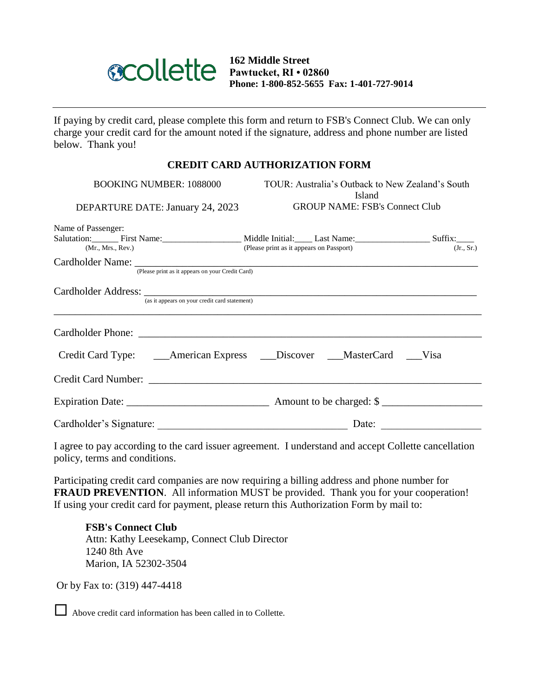

**162 Middle Street Pawtucket, RI • 02860 Phone: 1-800-852-5655 Fax: 1-401-727-9014**

If paying by credit card, please complete this form and return to FSB's Connect Club. We can only charge your credit card for the amount noted if the signature, address and phone number are listed below. Thank you!

## **CREDIT CARD AUTHORIZATION FORM**

| BOOKING NUMBER: 1088000<br>DEPARTURE DATE: January 24, 2023 | <b>Island</b><br><b>GROUP NAME: FSB's Connect Club</b>                                                             | TOUR: Australia's Outback to New Zealand's South |  |  |  |
|-------------------------------------------------------------|--------------------------------------------------------------------------------------------------------------------|--------------------------------------------------|--|--|--|
| Name of Passenger:<br>(Mr., Mrs., Rev.)                     | Salutation: First Name: First Name: Niddle Initial: Last Name: Suffix:<br>(Please print as it appears on Passport) | (Jr., Sr.)                                       |  |  |  |
| (Please print as it appears on your Credit Card)            |                                                                                                                    |                                                  |  |  |  |
| (as it appears on your credit card statement)               | ,我们也不能会在这里,我们的人们就会不能会在这里,我们也不能会不能会不能会不能会不能会不能会不能会。""我们的人们就会不能会不能会不能会不能会不能会不能会不能会                                   |                                                  |  |  |  |
|                                                             |                                                                                                                    |                                                  |  |  |  |
|                                                             | Credit Card Type: ______American Express _____Discover ____MasterCard ____Visa                                     |                                                  |  |  |  |
| Credit Card Number:                                         |                                                                                                                    |                                                  |  |  |  |
|                                                             |                                                                                                                    |                                                  |  |  |  |
| Cardholder's Signature:                                     | Date:                                                                                                              |                                                  |  |  |  |

I agree to pay according to the card issuer agreement. I understand and accept Collette cancellation policy, terms and conditions.

Participating credit card companies are now requiring a billing address and phone number for **FRAUD PREVENTION**. All information MUST be provided. Thank you for your cooperation! If using your credit card for payment, please return this Authorization Form by mail to:

**FSB's Connect Club** Attn: Kathy Leesekamp, Connect Club Director 1240 8th Ave Marion, IA 52302-3504

Or by Fax to: (319) 447-4418

Above credit card information has been called in to Collette.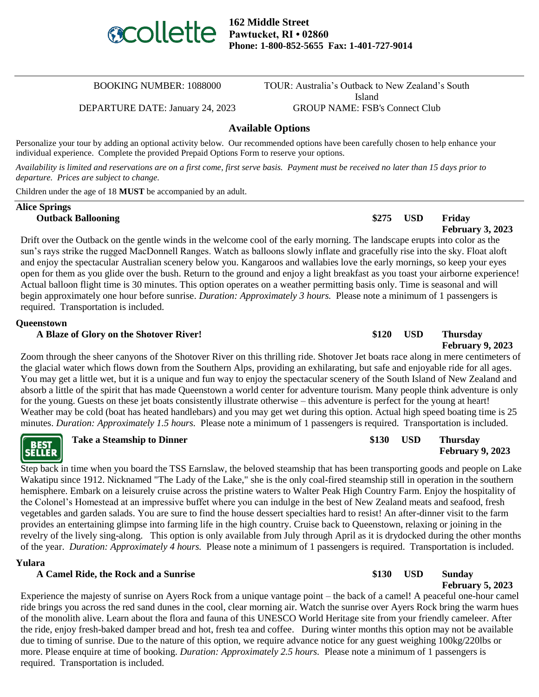

**162 Middle Street Pawtucket, RI • 02860 Phone: 1-800-852-5655 Fax: 1-401-727-9014**

DEPARTURE DATE: January 24, 2023 GROUP NAME: FSB's Connect Club

BOOKING NUMBER: 1088000 TOUR: Australia's Outback to New Zealand's South Island

## **Available Options**

Personalize your tour by adding an optional activity below. Our recommended options have been carefully chosen to help enhance your individual experience. Complete the provided Prepaid Options Form to reserve your options.

*Availability is limited and reservations are on a first come, first serve basis. Payment must be received no later than 15 days prior to departure. Prices are subject to change.*

Children under the age of 18 **MUST** be accompanied by an adult.

# **Alice Springs**

**Outback Ballooning \$275 USD Friday February 3, 2023**

**February 5, 2023**

Drift over the Outback on the gentle winds in the welcome cool of the early morning. The landscape erupts into color as the sun's rays strike the rugged MacDonnell Ranges. Watch as balloons slowly inflate and gracefully rise into the sky. Float aloft and enjoy the spectacular Australian scenery below you. Kangaroos and wallabies love the early mornings, so keep your eyes open for them as you glide over the bush. Return to the ground and enjoy a light breakfast as you toast your airborne experience! Actual balloon flight time is 30 minutes. This option operates on a weather permitting basis only. Time is seasonal and will begin approximately one hour before sunrise. *Duration: Approximately 3 hours.* Please note a minimum of 1 passengers is required. Transportation is included.

## **Queenstown**

### **A Blaze of Glory on the Shotover River! \$120 USD Thursday**

**February 9, 2023** Zoom through the sheer canyons of the Shotover River on this thrilling ride. Shotover Jet boats race along in mere centimeters of the glacial water which flows down from the Southern Alps, providing an exhilarating, but safe and enjoyable ride for all ages. You may get a little wet, but it is a unique and fun way to enjoy the spectacular scenery of the South Island of New Zealand and absorb a little of the spirit that has made Queenstown a world center for adventure tourism. Many people think adventure is only for the young. Guests on these jet boats consistently illustrate otherwise – this adventure is perfect for the young at heart! Weather may be cold (boat has heated handlebars) and you may get wet during this option. Actual high speed boating time is 25 minutes. *Duration: Approximately 1.5 hours.* Please note a minimum of 1 passengers is required. Transportation is included.

|                       | <b>Take a Steamship to Dinner</b> | \$130 | <b>USD</b> | <b>Thursday</b>         |
|-----------------------|-----------------------------------|-------|------------|-------------------------|
| <b>BEST<br/>ELLER</b> |                                   |       |            | <b>February 9, 2023</b> |

Step back in time when you board the TSS Earnslaw, the beloved steamship that has been transporting goods and people on Lake Wakatipu since 1912. Nicknamed "The Lady of the Lake," she is the only coal-fired steamship still in operation in the southern hemisphere. Embark on a leisurely cruise across the pristine waters to Walter Peak High Country Farm. Enjoy the hospitality of the Colonel's Homestead at an impressive buffet where you can indulge in the best of New Zealand meats and seafood, fresh vegetables and garden salads. You are sure to find the house dessert specialties hard to resist! An after-dinner visit to the farm provides an entertaining glimpse into farming life in the high country. Cruise back to Queenstown, relaxing or joining in the revelry of the lively sing-along. This option is only available from July through April as it is drydocked during the other months of the year. *Duration: Approximately 4 hours.* Please note a minimum of 1 passengers is required. Transportation is included.

### **Yulara**

 $\mathbf{s}$ 

### **A Camel Ride, the Rock and a Sunrise \$130 USD Sunday**

Experience the majesty of sunrise on Ayers Rock from a unique vantage point – the back of a camel! A peaceful one-hour camel ride brings you across the red sand dunes in the cool, clear morning air. Watch the sunrise over Ayers Rock bring the warm hues of the monolith alive. Learn about the flora and fauna of this UNESCO World Heritage site from your friendly cameleer. After the ride, enjoy fresh-baked damper bread and hot, fresh tea and coffee. During winter months this option may not be available due to timing of sunrise. Due to the nature of this option, we require advance notice for any guest weighing 100kg/220lbs or more. Please enquire at time of booking. *Duration: Approximately 2.5 hours.* Please note a minimum of 1 passengers is required. Transportation is included.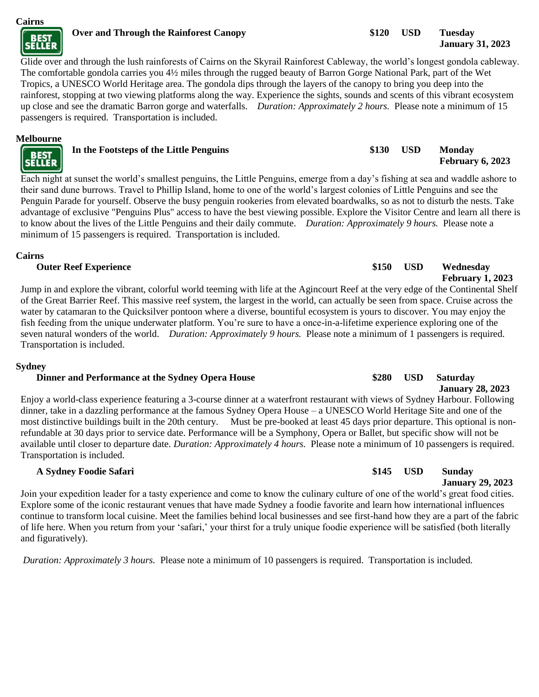

Glide over and through the lush rainforests of Cairns on the Skyrail Rainforest Cableway, the world's longest gondola cableway. The comfortable gondola carries you 4½ miles through the rugged beauty of Barron Gorge National Park, part of the Wet Tropics, a UNESCO World Heritage area. The gondola dips through the layers of the canopy to bring you deep into the rainforest, stopping at two viewing platforms along the way. Experience the sights, sounds and scents of this vibrant ecosystem up close and see the dramatic Barron gorge and waterfalls. *Duration: Approximately 2 hours.* Please note a minimum of 15 passengers is required. Transportation is included.

## **Melbourne**

| <b>BEST</b> | In the Footsteps of the Little Penguins | \$130 | <b>USD</b> | <b>Monday</b><br><b>February 6, 2023</b> |
|-------------|-----------------------------------------|-------|------------|------------------------------------------|
|             |                                         |       |            |                                          |

Each night at sunset the world's smallest penguins, the Little Penguins, emerge from a day's fishing at sea and waddle ashore to their sand dune burrows. Travel to Phillip Island, home to one of the world's largest colonies of Little Penguins and see the Penguin Parade for yourself. Observe the busy penguin rookeries from elevated boardwalks, so as not to disturb the nests. Take advantage of exclusive "Penguins Plus" access to have the best viewing possible. Explore the Visitor Centre and learn all there is to know about the lives of the Little Penguins and their daily commute. *Duration: Approximately 9 hours.* Please note a minimum of 15 passengers is required. Transportation is included.

## **Cairns**

Jump in and explore the vibrant, colorful world teeming with life at the Agincourt Reef at the very edge of the Continental Shelf of the Great Barrier Reef. This massive reef system, the largest in the world, can actually be seen from space. Cruise across the water by catamaran to the Quicksilver pontoon where a diverse, bountiful ecosystem is yours to discover. You may enjoy the fish feeding from the unique underwater platform. You're sure to have a once-in-a-lifetime experience exploring one of the seven natural wonders of the world. *Duration: Approximately 9 hours.* Please note a minimum of 1 passengers is required. Transportation is included.

## **Sydney**

## **Dinner and Performance at the Sydney Opera House \$280 USD Saturday**

Enjoy a world-class experience featuring a 3-course dinner at a waterfront restaurant with views of Sydney Harbour. Following dinner, take in a dazzling performance at the famous Sydney Opera House – a UNESCO World Heritage Site and one of the most distinctive buildings built in the 20th century. Must be pre-booked at least 45 days prior departure. This optional is nonrefundable at 30 days prior to service date. Performance will be a Symphony, Opera or Ballet, but specific show will not be available until closer to departure date. *Duration: Approximately 4 hours.* Please note a minimum of 10 passengers is required. Transportation is included.

## **A Sydney Foodie Safari \$145 USD Sunday**

Join your expedition leader for a tasty experience and come to know the culinary culture of one of the world's great food cities. Explore some of the iconic restaurant venues that have made Sydney a foodie favorite and learn how international influences continue to transform local cuisine. Meet the families behind local businesses and see first-hand how they are a part of the fabric of life here. When you return from your 'safari,' your thirst for a truly unique foodie experience will be satisfied (both literally and figuratively).

*Duration: Approximately 3 hours.* Please note a minimum of 10 passengers is required. Transportation is included.

## **Outer Reef Experience**  $\qquad$  **\$150 USD Wednesday February 1, 2023**

# **January 28, 2023**

# **January 29, 2023**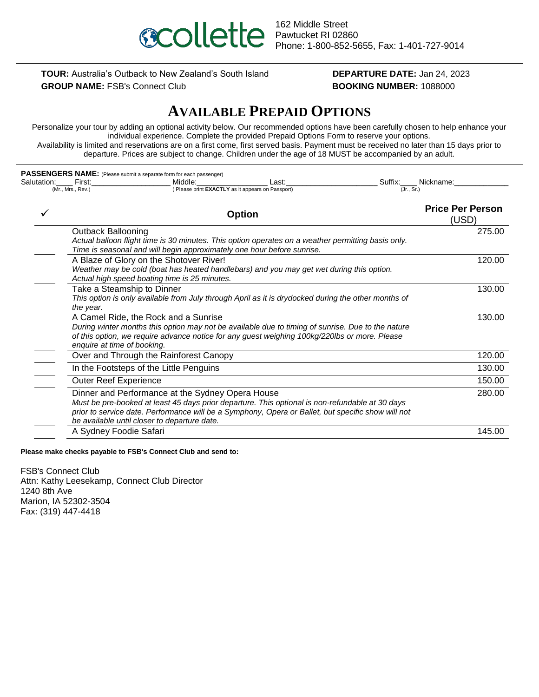

## **TOUR:** Australia's Outback to New Zealand's South Island **DEPARTURE DATE:** Jan 24, 2023

# **GROUP NAME:** FSB's Connect Club **BOOKING NUMBER:** 1088000

## **AVAILABLE PREPAID OPTIONS**

Personalize your tour by adding an optional activity below. Our recommended options have been carefully chosen to help enhance your individual experience. Complete the provided Prepaid Options Form to reserve your options. Availability is limited and reservations are on a first come, first served basis. Payment must be received no later than 15 days prior to departure. Prices are subject to change. Children under the age of 18 MUST be accompanied by an adult.

|             | PASSENGERS NAME: (Please submit a separate form for each passenger)                                                                                                                                                                                                                                       |                                  |
|-------------|-----------------------------------------------------------------------------------------------------------------------------------------------------------------------------------------------------------------------------------------------------------------------------------------------------------|----------------------------------|
| Salutation: | First:<br>Middle:<br>Last:                                                                                                                                                                                                                                                                                | Suffix:<br>Nickname:             |
|             | (Please print EXACTLY as it appears on Passport)<br>(Mr., Mrs., Rev.)                                                                                                                                                                                                                                     | (Jr., Sr.)                       |
|             | <b>Option</b>                                                                                                                                                                                                                                                                                             | <b>Price Per Person</b><br>(USD) |
|             | <b>Outback Ballooning</b><br>Actual balloon flight time is 30 minutes. This option operates on a weather permitting basis only.<br>Time is seasonal and will begin approximately one hour before sunrise.                                                                                                 | 275.00                           |
|             | A Blaze of Glory on the Shotover River!<br>Weather may be cold (boat has heated handlebars) and you may get wet during this option.<br>Actual high speed boating time is 25 minutes.                                                                                                                      | 120.00                           |
|             | Take a Steamship to Dinner<br>This option is only available from July through April as it is drydocked during the other months of<br>the year.                                                                                                                                                            | 130.00                           |
|             | A Camel Ride, the Rock and a Sunrise<br>During winter months this option may not be available due to timing of sunrise. Due to the nature<br>of this option, we require advance notice for any guest weighing 100kg/220lbs or more. Please<br>enquire at time of booking.                                 | 130.00                           |
|             | Over and Through the Rainforest Canopy                                                                                                                                                                                                                                                                    | 120.00                           |
|             | In the Footsteps of the Little Penguins                                                                                                                                                                                                                                                                   | 130.00                           |
|             | <b>Outer Reef Experience</b>                                                                                                                                                                                                                                                                              | 150.00                           |
|             | Dinner and Performance at the Sydney Opera House<br>Must be pre-booked at least 45 days prior departure. This optional is non-refundable at 30 days<br>prior to service date. Performance will be a Symphony, Opera or Ballet, but specific show will not<br>be available until closer to departure date. | 280.00                           |
|             | A Sydney Foodie Safari                                                                                                                                                                                                                                                                                    | 145.00                           |
|             |                                                                                                                                                                                                                                                                                                           |                                  |

**Please make checks payable to FSB's Connect Club and send to:**

FSB's Connect Club Attn: Kathy Leesekamp, Connect Club Director 1240 8th Ave Marion, IA 52302-3504 Fax: (319) 447-4418